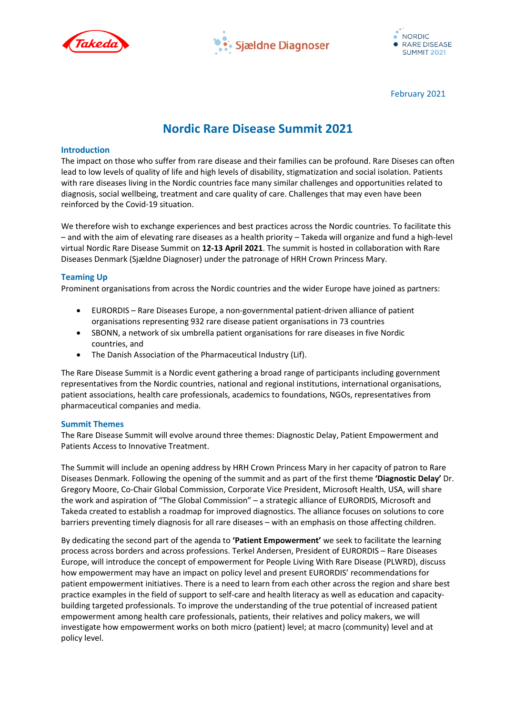





February 2021

# **Nordic Rare Disease Summit 2021**

### **Introduction**

The impact on those who suffer from rare disease and their families can be profound. Rare Diseses can often lead to low levels of quality of life and high levels of disability, stigmatization and social isolation. Patients with rare diseases living in the Nordic countries face many similar challenges and opportunities related to diagnosis, social wellbeing, treatment and care quality of care. Challenges that may even have been reinforced by the Covid-19 situation.

We therefore wish to exchange experiences and best practices across the Nordic countries. To facilitate this – and with the aim of elevating rare diseases as a health priority – Takeda will organize and fund a high-level virtual Nordic Rare Disease Summit on **12-13 April 2021**. The summit is hosted in collaboration with Rare Diseases Denmark (Sjældne Diagnoser) under the patronage of HRH Crown Princess Mary.

## **Teaming Up**

Prominent organisations from across the Nordic countries and the wider Europe have joined as partners:

- EURORDIS Rare Diseases Europe, a non-governmental patient-driven alliance of patient organisations representing 932 rare disease patient organisations in 73 countries
- SBONN, a network of six umbrella patient organisations for rare diseases in five Nordic countries, and
- The Danish Association of the Pharmaceutical Industry (Lif).

The Rare Disease Summit is a Nordic event gathering a broad range of participants including government representatives from the Nordic countries, national and regional institutions, international organisations, patient associations, health care professionals, academics to foundations, NGOs, representatives from pharmaceutical companies and media.

#### **Summit Themes**

The Rare Disease Summit will evolve around three themes: Diagnostic Delay, Patient Empowerment and Patients Access to Innovative Treatment.

The Summit will include an opening address by HRH Crown Princess Mary in her capacity of patron to Rare Diseases Denmark. Following the opening of the summit and as part of the first theme **'Diagnostic Delay'** Dr. Gregory Moore, Co-Chair Global Commission, Corporate Vice President, Microsoft Health, USA, will share the work and aspiration of "The Global Commission" – a strategic alliance of EURORDIS, Microsoft and Takeda created to establish a roadmap for improved diagnostics. The alliance focuses on solutions to core barriers preventing timely diagnosis for all rare diseases – with an emphasis on those affecting children.

By dedicating the second part of the agenda to **'Patient Empowerment'** we seek to facilitate the learning process across borders and across professions. Terkel Andersen, President of EURORDIS – Rare Diseases Europe, will introduce the concept of empowerment for People Living With Rare Disease (PLWRD), discuss how empowerment may have an impact on policy level and present EURORDIS' recommendations for patient empowerment initiatives. There is a need to learn from each other across the region and share best practice examples in the field of support to self-care and health literacy as well as education and capacitybuilding targeted professionals. To improve the understanding of the true potential of increased patient empowerment among health care professionals, patients, their relatives and policy makers, we will investigate how empowerment works on both micro (patient) level; at macro (community) level and at policy level.